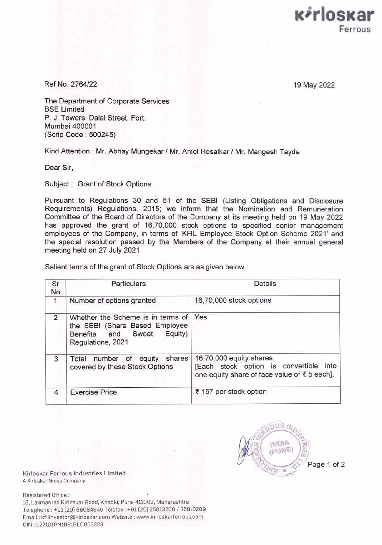

Ref No. 2764/22

19 May 2022

The Department of Corporate Services BSE Limited P. J. Towers, Dalal Street, Fort, Mumbai 400001 (Scrip Code : 500245)

Kind Attention: Mr. Abhay Mungekar / Mr. Amol Hosalkar / Mr. Mangesh Tayde

Dear Sir,

Subject : Grant of Stock Options

Pursuant to Regulations 30 and 51 of the SEBI (Listing Obligations and Disclosure Requirements) Regulations, 2015; we inform that the Nomination and Remuneration Committee of the Board of Directors of the Company at its meeting held on 19 May 2022 has approved the grant of 16,70,000 stock options to specified senior management employees of the Company, in terms of 'KFIL Employee Stock Option Scheme 2021' and the special resolution passed by the Members of the Company at their annual general meeting held on 27 July 2021.

Salient terms of the grant of Stock Options are as given below :

| Sr<br>No     | <b>Particulars</b>                                                                                                            | Details                                                                                                              |
|--------------|-------------------------------------------------------------------------------------------------------------------------------|----------------------------------------------------------------------------------------------------------------------|
| $\mathbf{1}$ | Number of options granted                                                                                                     | 16,70,000 stock options                                                                                              |
| 2            | Whether the Scheme is in terms of Yes<br>the SEBI (Share Based Employee<br>Equity)<br>Benefits and Sweat<br>Regulations, 2021 |                                                                                                                      |
| 3            | shares<br>of equity<br>Total<br>number<br>covered by these Stock Options                                                      | 16,70,000 equity shares<br>[Each stock option is convertible<br>into<br>one equity share of face value of ₹ 5 each]. |
| 4            | <b>Exercise Price</b>                                                                                                         | ₹ 157 per stock option                                                                                               |

 $NIS/$ NDIA PUNE Page 1 of 2

Kirloskar Ferrous Industries Limited A Kirloskar Group Company

Registered Office :

13, Laxmanrao Kirloskar Road, Khadki, Pune 411003, Maharashtra Telephone: +91 (20) 66084645 Telefax: +91 (20) 25813208 / 25810209 Email : kfilinvestor@kirloskar.com Website : www.kirloskarferrous.com CIN : L27101PN1991PLC063223